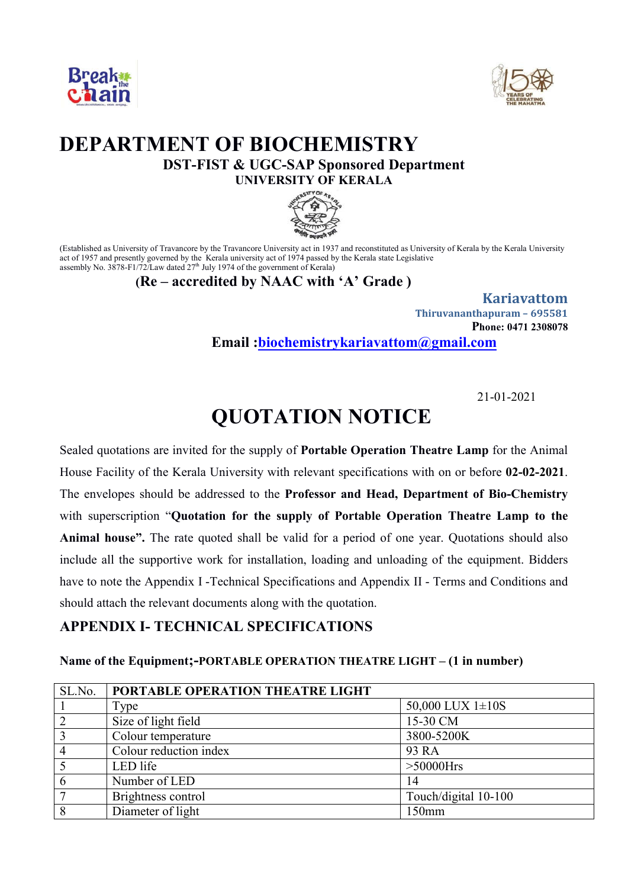



# **DEPARTMENT OF BIOCHEMISTRY DST-FIST & UGC-SAP Sponsored Department UNIVERSITY OF KERALA**



(Established as University of Travancore by the Travancore University act in 1937 and reconstituted as University of Kerala by the Kerala University act of 1957 and presently governed by the Kerala university act of 1974 passed by the Kerala state Legislative assembly No. 3878-F1/72/Law dated  $27<sup>th</sup>$  July 1974 of the government of Kerala)

#### **(Re – accredited by NAAC with 'A' Grade )**

**Kariavattom Thiruvananthapuram – 695581 Phone: 0471 2308078 Email :biochemistrykariavattom@gmail.com**

21-01-2021

# **QUOTATION NOTICE**

Sealed quotations are invited for the supply of **Portable Operation Theatre Lamp** for the Animal House Facility of the Kerala University with relevant specifications with on or before **02-02-2021**. The envelopes should be addressed to the **Professor and Head, Department of Bio-Chemistry**  with superscription "**Quotation for the supply of Portable Operation Theatre Lamp to the Animal house".** The rate quoted shall be valid for a period of one year. Quotations should also include all the supportive work for installation, loading and unloading of the equipment. Bidders have to note the Appendix I -Technical Specifications and Appendix II - Terms and Conditions and should attach the relevant documents along with the quotation.

### **APPENDIX I- TECHNICAL SPECIFICATIONS**

#### **Name of the Equipment;-PORTABLE OPERATION THEATRE LIGHT – (1 in number)**

| SL.No.         | PORTABLE OPERATION THEATRE LIGHT |                      |
|----------------|----------------------------------|----------------------|
|                | Type                             | 50,000 LUX $1\pm10S$ |
| $\overline{2}$ | Size of light field              | 15-30 CM             |
| $\overline{3}$ | Colour temperature               | 3800-5200K           |
| $\overline{4}$ | Colour reduction index           | 93 RA                |
|                | LED life                         | $>50000$ Hrs         |
| 6              | Number of LED                    | 14                   |
| 7              | Brightness control               | Touch/digital 10-100 |
| 8              | Diameter of light                | 150mm                |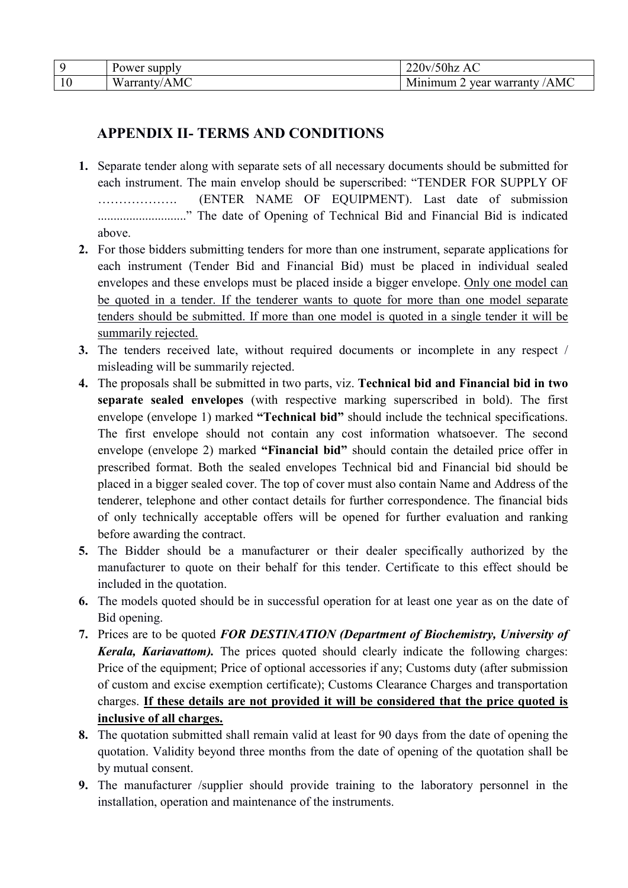| Power supply     | 220v/50hz<br>AC                  |
|------------------|----------------------------------|
| AMC<br>Warranty/ | 'AMC<br>vear warranty<br>Minimum |

## **APPENDIX II- TERMS AND CONDITIONS**

- **1.** Separate tender along with separate sets of all necessary documents should be submitted for each instrument. The main envelop should be superscribed: "TENDER FOR SUPPLY OF ………………. (ENTER NAME OF EQUIPMENT). Last date of submission ............................" The date of Opening of Technical Bid and Financial Bid is indicated above.
- **2.** For those bidders submitting tenders for more than one instrument, separate applications for each instrument (Tender Bid and Financial Bid) must be placed in individual sealed envelopes and these envelops must be placed inside a bigger envelope. Only one model can be quoted in a tender. If the tenderer wants to quote for more than one model separate tenders should be submitted. If more than one model is quoted in a single tender it will be summarily rejected.
- **3.** The tenders received late, without required documents or incomplete in any respect / misleading will be summarily rejected.
- **4.** The proposals shall be submitted in two parts, viz. **Technical bid and Financial bid in two separate sealed envelopes** (with respective marking superscribed in bold). The first envelope (envelope 1) marked **"Technical bid"** should include the technical specifications. The first envelope should not contain any cost information whatsoever. The second envelope (envelope 2) marked **"Financial bid"** should contain the detailed price offer in prescribed format. Both the sealed envelopes Technical bid and Financial bid should be placed in a bigger sealed cover. The top of cover must also contain Name and Address of the tenderer, telephone and other contact details for further correspondence. The financial bids of only technically acceptable offers will be opened for further evaluation and ranking before awarding the contract.
- **5.** The Bidder should be a manufacturer or their dealer specifically authorized by the manufacturer to quote on their behalf for this tender. Certificate to this effect should be included in the quotation.
- **6.** The models quoted should be in successful operation for at least one year as on the date of Bid opening.
- **7.** Prices are to be quoted *FOR DESTINATION (Department of Biochemistry, University of Kerala, Kariavattom*). The prices quoted should clearly indicate the following charges: Price of the equipment; Price of optional accessories if any; Customs duty (after submission of custom and excise exemption certificate); Customs Clearance Charges and transportation charges. **If these details are not provided it will be considered that the price quoted is inclusive of all charges.**
- **8.** The quotation submitted shall remain valid at least for 90 days from the date of opening the quotation. Validity beyond three months from the date of opening of the quotation shall be by mutual consent.
- **9.** The manufacturer /supplier should provide training to the laboratory personnel in the installation, operation and maintenance of the instruments.